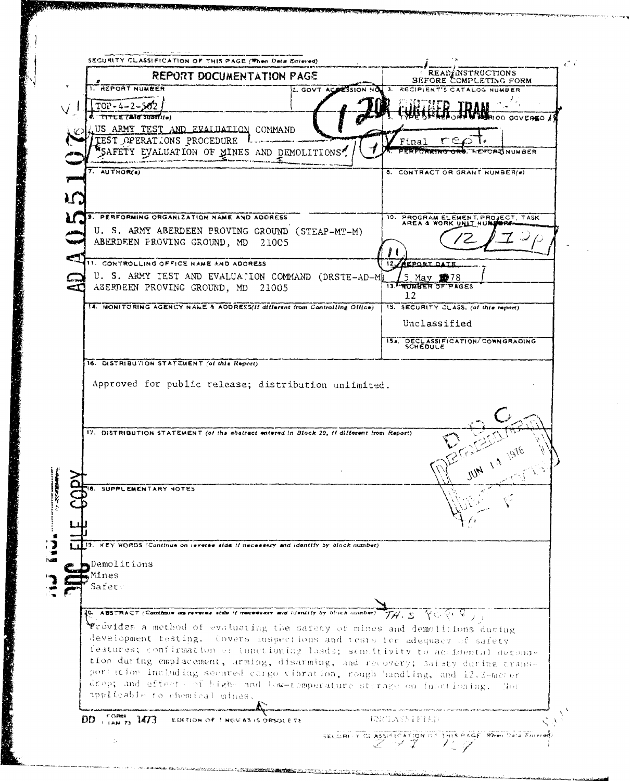| <b>1. REPORT NUMBER</b>                                                                                                                                                                                                                                                                                                                                                                                                                                                                                                  | <b>READ/INSTRUCTIONS</b><br><b>REPORT DOCUMENTATION PAGE</b><br>SEFORE COMPLETING FORM |
|--------------------------------------------------------------------------------------------------------------------------------------------------------------------------------------------------------------------------------------------------------------------------------------------------------------------------------------------------------------------------------------------------------------------------------------------------------------------------------------------------------------------------|----------------------------------------------------------------------------------------|
|                                                                                                                                                                                                                                                                                                                                                                                                                                                                                                                          | 3. RECIPIENT'S CATALOG NUMBER<br>2. GOVT ACORSSION NO                                  |
| TOP - 4 – 2 – 502                                                                                                                                                                                                                                                                                                                                                                                                                                                                                                        |                                                                                        |
|                                                                                                                                                                                                                                                                                                                                                                                                                                                                                                                          | OD GOVERED J                                                                           |
| US ARMY TEST AND EVALUATION COMMAND<br>TEST OPERATIONS PROCEDURE                                                                                                                                                                                                                                                                                                                                                                                                                                                         | Fınal                                                                                  |
| SAFETY EVALUATION OF MINES AND DEMOLITIONS"                                                                                                                                                                                                                                                                                                                                                                                                                                                                              | <b>CTORTNUMBER</b>                                                                     |
| 7. AUTHOR(e)                                                                                                                                                                                                                                                                                                                                                                                                                                                                                                             | 8. CONTRACT OR GRANT NUMBER(a)                                                         |
|                                                                                                                                                                                                                                                                                                                                                                                                                                                                                                                          |                                                                                        |
|                                                                                                                                                                                                                                                                                                                                                                                                                                                                                                                          |                                                                                        |
| PERFORMING ORGANIZATION NAME AND ADDRESS                                                                                                                                                                                                                                                                                                                                                                                                                                                                                 | 10. PROGRAM ELEMENT, PROJECT, TASK                                                     |
| U. S. ARMY ABERDEEN PROVING GROUND (STEAP-MT-M)                                                                                                                                                                                                                                                                                                                                                                                                                                                                          | AREA & WORK UNLT NU <b>NUG</b> RE                                                      |
| ABERDEEN FROVING GROUND, MD 210C5                                                                                                                                                                                                                                                                                                                                                                                                                                                                                        |                                                                                        |
| 11. CONTROLLING OFFICE NAME AND ADDRESS                                                                                                                                                                                                                                                                                                                                                                                                                                                                                  | 12 AEPOST DATE                                                                         |
| U. S. ARMY TEST AND EVALUATION COMMAND (DRSTE-AD-M)                                                                                                                                                                                                                                                                                                                                                                                                                                                                      | 5 May 1978                                                                             |
| ABERDEEN PROVING GROUND, MD 21005                                                                                                                                                                                                                                                                                                                                                                                                                                                                                        | 13. NUMBER OF PAGES<br>1.2                                                             |
| 14. HONITORING AGENCY NAME A ADDRESS(If different from Controlling Office)                                                                                                                                                                                                                                                                                                                                                                                                                                               | 15. SECURITY CLASS. (of this report)                                                   |
|                                                                                                                                                                                                                                                                                                                                                                                                                                                                                                                          | Unclassified                                                                           |
|                                                                                                                                                                                                                                                                                                                                                                                                                                                                                                                          | 15a. DECLASSIFICATION/DOWNGRADING                                                      |
|                                                                                                                                                                                                                                                                                                                                                                                                                                                                                                                          | <b>SCHEDULE</b>                                                                        |
| 16. DISTRIBUTION STATEMENT (of this Report).                                                                                                                                                                                                                                                                                                                                                                                                                                                                             |                                                                                        |
|                                                                                                                                                                                                                                                                                                                                                                                                                                                                                                                          |                                                                                        |
| 17. DISTRIBUTION STATEMENT (of the abstract entered in Block 20, if different from Report)                                                                                                                                                                                                                                                                                                                                                                                                                               |                                                                                        |
|                                                                                                                                                                                                                                                                                                                                                                                                                                                                                                                          | JUN 1A                                                                                 |
| SUPPL EMENTARY NOTES                                                                                                                                                                                                                                                                                                                                                                                                                                                                                                     |                                                                                        |
|                                                                                                                                                                                                                                                                                                                                                                                                                                                                                                                          |                                                                                        |
| 13. KEY WORDS (Continue on inverse side if necessary and identify by block number)                                                                                                                                                                                                                                                                                                                                                                                                                                       |                                                                                        |
| Demolitions<br>Mines                                                                                                                                                                                                                                                                                                                                                                                                                                                                                                     |                                                                                        |
| Safet-                                                                                                                                                                                                                                                                                                                                                                                                                                                                                                                   |                                                                                        |
|                                                                                                                                                                                                                                                                                                                                                                                                                                                                                                                          |                                                                                        |
| ABSTRACT (Continue on reverse side if necessary and identify by block number) $TH$ , $S$ , $\{C\}$ , $\emptyset$ ,                                                                                                                                                                                                                                                                                                                                                                                                       |                                                                                        |
| Provides a method of evaluating the safety of mines and demolitions during<br>development testing. Covers inspections and tests for adequacy of safety<br>features; confirmation of tunctioning loads; sensitivity to accidental detona-<br>tion during emplacement, arming, disarming, and recovery; safety during trans-<br>portation including secured cargo vibration, rough handling, and 12.2-meter<br>drop; and effects of high- and low-temperature storage on functioning. Not<br>applicable to chemical mines. |                                                                                        |

**ROOM**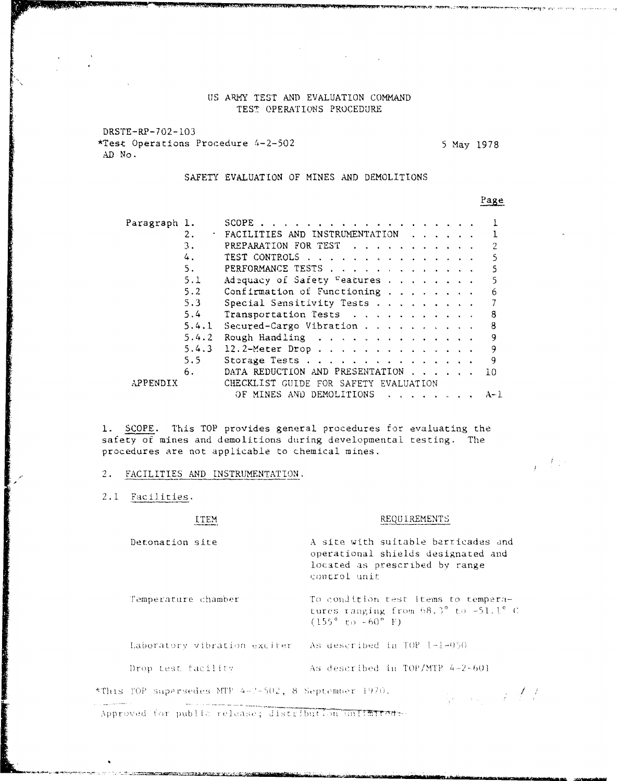# **US** ARMY TEST AND EVALUATION COMMAND TEST OPERATIONS PROCEDURE

 $\mathcal{L}^{\text{max}}_{\text{max}}$  and  $\mathcal{L}^{\text{max}}_{\text{max}}$ 

DRSTE-RP-702-103 \*Test Operations Procedure  $4-2-502$  5 May 1978 AD No.

# SAFETY EVALUATION OF MINES AND DEMOLITIONS

## Page

| Paragraph 1. |         |                                        |
|--------------|---------|----------------------------------------|
|              | 2.      | · FACILITIES AND INSTRUMENTATION       |
|              | 3.      | PREPARATION FOR TEST<br>2              |
|              | 4.      | TEST CONTROLS                          |
|              | 5.      | PERFORMANCE TESTS                      |
|              | 5.1     | Adequacy of Safety Features<br>5       |
|              | 5.2     | Confirmation of Functioning<br>6       |
|              | $5.3 -$ | Special Sensitivity Tests              |
|              | 5.4     | Transportation Tests 8                 |
|              | 5.4.1   | 8<br>Secured-Cargo Vibration           |
|              | 5.4.2   | Rough Handling<br>9                    |
|              |         | 5.4.3 12.2-Meter Drop.<br>9            |
|              | 5.5     | Storage Tests 9                        |
|              | 6.      | DATA REDUCTION AND PRESENTATION<br>-10 |
| APPENDIX     |         | CHECKLIST GUIDE FOR SAFETY EVALUATION  |
|              |         | OF MINES AND DEMOLITIONS<br>$A-1$ .    |

**1.** SCOPE. This TOP provides general procedures for evaluating the safety of mines and demolitions during developmental testing. The procedures are not applicable to chemical mines.

2. FACILITIES AND INSTRUMENTATION.

2.1 Facilities.

# ITEM REQU IREMENTS

Detonation site A site with suitable barricades and operational shields designated and located as prescribed by range control unit

# Temperature chamber  $\begin{array}{ll} \text{To condition test items to tempera-} \\ \text{tures ranging from } 68.3^{\circ} \text{ to } -51.1^{\circ} \text{ C} \end{array}$  $(155° t0 - 60° F)$

Laboratory vibration exciter - As described in TOP 1-1-050

**OTHER IS EXAMPLE EXAMPLE A POP INTERFACT A POP A 2-001** 

**STATISTICS AND RELEASED AT LEAST MANUFACT** 

# \*This TOP supersedes MTP 4-2-502, 8 September 1970.

 $\mathcal{G}(\mathcal{A}) \neq f(f)$ 

 $\mathcal{L}^{\text{max}}$ 

Approved for public release; distribution unfimited --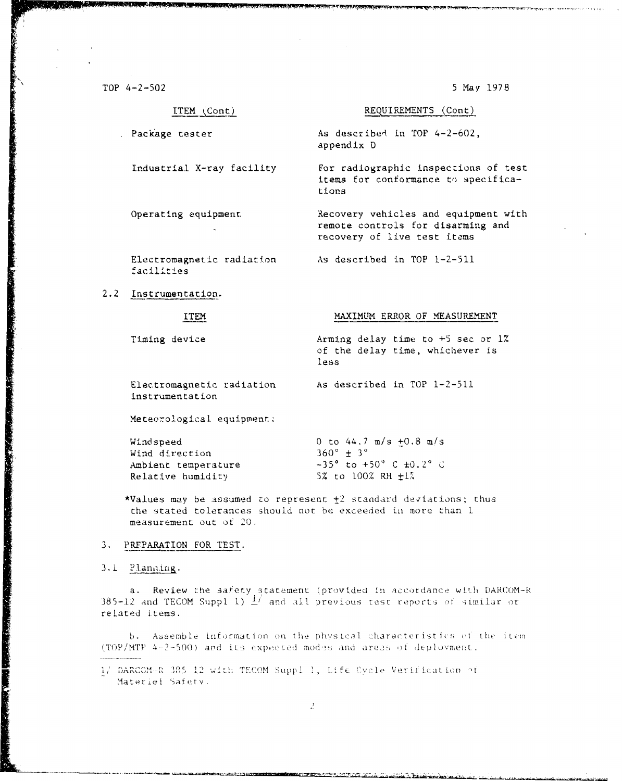TOP  $4 - 2 - 502$ 

5 May 1978

ITEM (Cont)

Package tester

Industrial X-ray facility

Operating equipment

Electromagnetic radiation facilities

2.2 Instrumentation.

ITEM

Timing device

Arming delay time to +5 sec or 1% of the delay time, whichever is less

MAXIMUM ERROR OF MEASUREMENT

REQUIREMENTS (Cont)

For radiographic inspections of test items for conformance to specifica-

Recovery vehicles and equipment with remote controls for disarming and

As described in TOP 4-2-602,

recovery of live test items

As described in TOP 1-2-511

appendix D

tions

As described in TOP 1-2-511 Electromagnetic radiation instrumentation

Meteorological equipment:

| Windspeed           | 0 to $44.7$ m/s $+0.8$ m/s                           |
|---------------------|------------------------------------------------------|
| Wind direction      | $360^{\circ} + 3^{\circ}$                            |
| Ambient temperature | $-35^{\circ}$ to $+50^{\circ}$ C $\pm 0.2^{\circ}$ C |
| Relative humidity   | 5% to 100% RH $\pm 1\%$                              |

\*Values may be assumed to represent  $\pm 2$  standard deviations; thus the stated tolerances should not be exceeded in more than 1 measurement out of 20.

### 3. PREPARATION FOR TEST.

# 3.1 Planning.

a. Review the safety statement (provided in accordance with DARCOM-R 385-12 and TECOM Suppl 1)  $\frac{1}{4}$  and all previous test reports of similar or related items.

b. Assemble information on the physical characteristics of the item (TOP/MTP 4-2-500) and its expected modes and areas of deployment.

1/ DARCOM-R 385 12 with TECOM Suppl 1, Life Cycle Verification of Materiel Safety.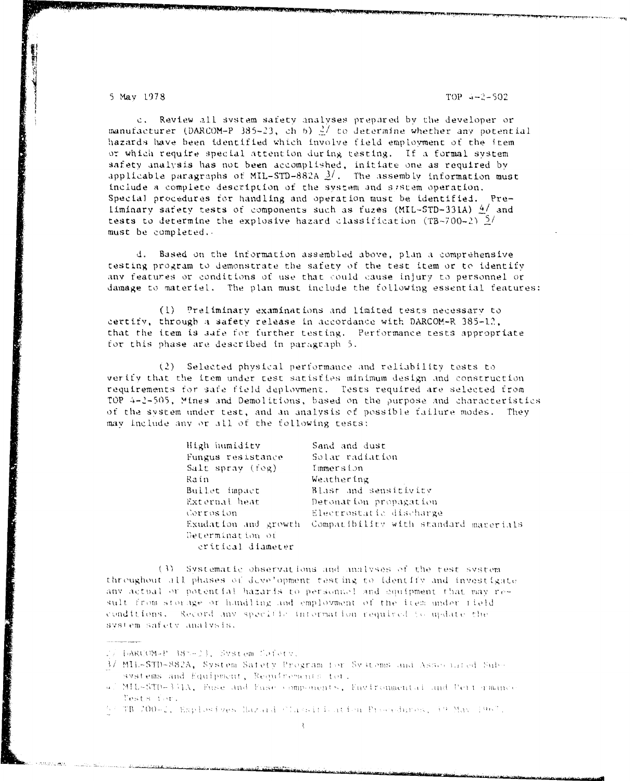TOP  $4 - 2 - 502$ 

5 May 1978

c. Review all system safety analyses prepared by the developer or manufacturer (DARCOM-P 385-23, ch 6)  $\frac{2}{3}$  to determine whether any potential hazards have been identified which involve field employment of the item or which require special attention during testing. If a formal system safety analysis has not been accomplished, initiate one as required by applicable paragraphs of MIL-STD-882A  $\frac{3}{2}$ . The assembly information must include a complete description of the system and sistem operation. Special procedures for handling and operation must be identified. Preliminary safety tests of components such as fuzes (MIL-STD-331A)  $4/$  and tests to determine the explosive hazard classification (TB-700-2)  $\frac{5}{4}$ must be completed.

d. Based on the information assembled above, plan a comprehensive testing program to demonstrate the safety of the test item or to identify any features or conditions of use that could cause injury to personnel or damage to material. The plan must include the following essential features:

(1) Preliminary examinations and limited tests necessary to certify, through a safety release in accordance with DARCOM-R 385-12, that the item is safe for further testing. Performance tests appropriate for this phase are described in paragraph 5.

(2) Selected physical performance and reliability tests to verify that the item under test satisfies minimum design and construction requirements for safe field deployment. Tests required are selected from TOP 4-2-505, Mines and Demolitions, based on the purpose and characteristics of the system under test, and an analysis of possible failure modes. They may include any or all of the following tests:

| High humidity                         | Sand and dust                         |
|---------------------------------------|---------------------------------------|
| Fungus resistance                     | Solar radiation                       |
| Salt spray $f(\omega)$                | Immersion                             |
| Rain                                  | Weathering                            |
| Bullet impact                         | Blast and sensitivity                 |
| External heat                         | Detonation propagation                |
| Corrosion                             | Electrostatic discharge               |
| Exudation and growth                  | Compatibility with standard materials |
| Determination of<br>critical diameter |                                       |

(3) Systematic observations and analyses of the test system throughout all phases of development testing to identify and investigate any actual or potential hazards to personnel and equipment that may result from storage or handling and employment of the item under field conditions. Record any specific information required to undate the system safety analysis.

<sup>1/</sup> TORCOM-P (MS-23, System Safety,

<sup>3/</sup> MIL-STD-882A, System Satety Program for Systems and Associated Subsystems and Equipment, Requirements for.

<sup>4.</sup> MIL-STD-3 (IA, Fuse and Fuse components, Environmental and Pertermance Tests for.

<sup>57</sup> TB 700-2, Explosives Mazard Classification Procedures, 19 May 1967.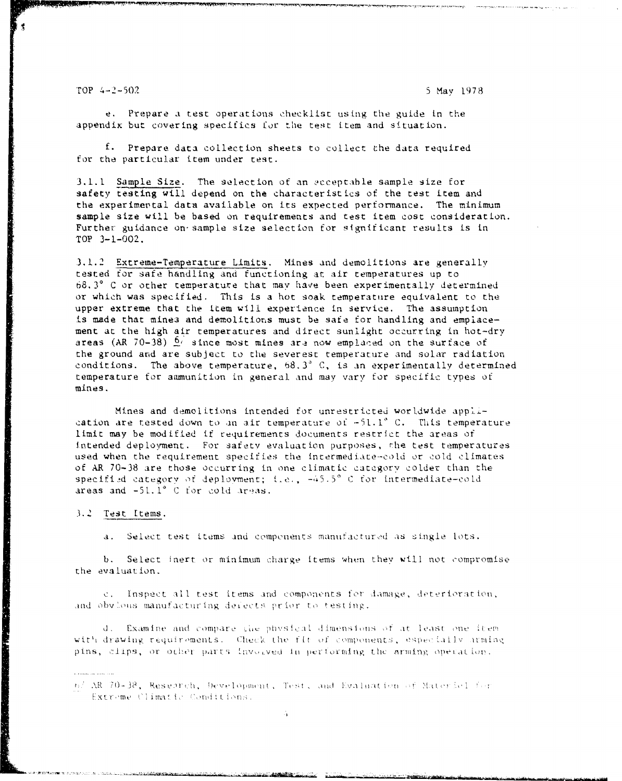TOP 4-2-502 5 May 1978

e. Prepare a test operations checklist using the guide in the appendix but covering specifics for the test item and situation.

f. Prepare data collection sheets to collect the data required for the particular item under test.

**3.1.1** Sample Size. The selection of an occeptable sample size for safety testing will depend on the characteristics of the test item and the experimertal data available on its expected performance. The minimum sample size will be based on requirements and test item cost consideration. Further guidance on-sample size selection for significant results is in TOP 3-1-002.

3.1.2 Extreme-Temperature Limits. Mines and demolitions are generally tested for safe handling and functioning at air temperatures up to **68.3'** C or other temperature that may have been experimentally determined or which was specified. This is a hot soak temperature equivalent to the upper extreme that the item will experience in service. The assumption is made that minea and demolitions must be safe for handling and emplacement at the high air temperatures and direct sunlight occurring in hot-dry areas (AR 70-38) **6,'** since most mines ara now emplaced on the surface of the ground and are subject to the severest temperature and solar radiation conditions. The above temperature, **b8.3'** C, is an experimentally determined temperature for aimunltion in general and may vary for specific types of mines.

Mines and demolitions intended for unrestricted worldwide application are tested down to an air temperature of  $-51.1^{\circ}$  C. This temperature limit may be modified if requirements documents restrict the areas **of** intended deployment. For safety evaluation purposes, rhe test temperatures used when the requirement specifies the intermediate-cold or cold climates of AR 70-38 are those occurring in one climatic catcgorv colder than the specified category of deployment; i.e.,  $-45.5^{\circ}$  C for intermediate-cold areas and  $-51.1^\circ$  C for cold areas.

### *3.2* Test Items.

a. Select test items and components manufactured as single lots.

b. Select inert or minimum charge items when they will not compromise the evaluation.

c. Inspect all test items and components for damage, deterioration, and obvious manufacturing defects prior to testing.

d. Examine and compare the physical dimensions of at least one item with drawing requirements. Check the fit of components, especially arming pins, clips, or other parts involved in performing the arming operation.

 $h/AR$  70-38, Research, Development, Test, and Evaluation of Material for Extreme Climatic Conditions.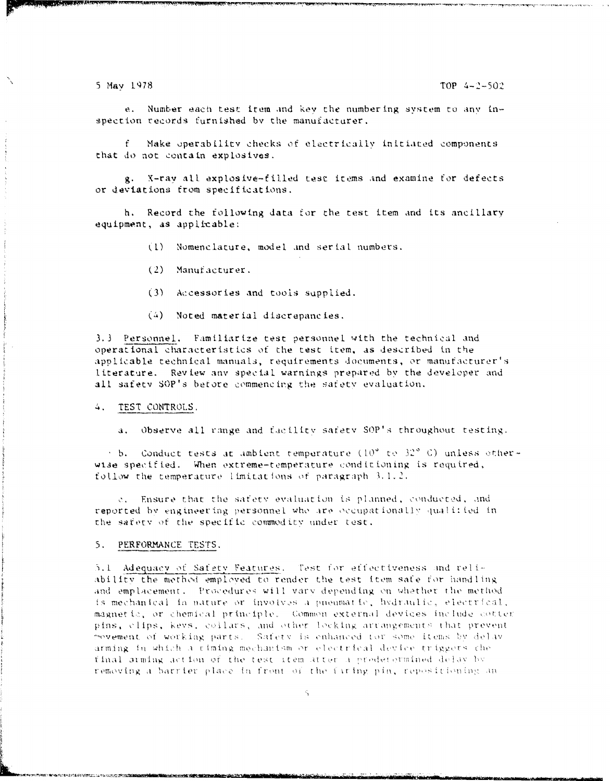TOP  $4 - 2 - 502$ 

5 May 1978

e. Number each test item and key the numbering system to any inspection records furnished by the manufacturer.

Make operability checks of electrically initiated components that do not contain explosives.

g. X-ray all explosive-filled test items and examine for defects or deviations from specifications.

h. Record the following data for the test item and its ancillary equipment, as applicable:

- $(1)$ Nomenclature, model and serial numbers.
- $(2)$ Manufacturer.
- (3) Accessories and tools supplied.
- (4) Noted material discrepancies.

3.3 Personnel. Familiarize test personnel with the technical and operational characteristics of the test item, as described in the applicable technical manuals, requirements documents, or manufacturer's literature. Review any special warnings prepared by the developer and all safety SOP's before commencing the safety evaluation.

## 4. TEST CONTROLS.

Observe all range and facility safety SOP's throughout testing.  $\mathbf{a}$  .

 $\le$  b. Conduct tests at ambient remperature (10° to 32° C) unless otherwise specified. When extreme-temperature conditioning is required, follow the temperature limitations of paragraph 3.1.2.

c. Ensure that the safety evaluation is planned, conducted, and reported by engineering personnel who are occupationally qualitied in the safety of the specific commodity under test.

### PERFORMANCE TESTS. 5.

5.1 Adequacy of Safety Features. Test for effectiveness and reliability the method employed to render the test item safe for handling and emplacement. Procedures will vary depending on whether the method is mechanical in nature or involves a pneumatic, hydraulic, electrical, magnetic, or chemical principle. Common external devices include cotter pins, clips, keys, collars, and other locking arrangements that prevent pevement of working parts. Safety is enhanced for some items by delay arming in which a ciming mechanism or electrical device triggers che final arming action of the test item atter a predetermined delay by removing a barrier place in front of the faring pin, repositioning an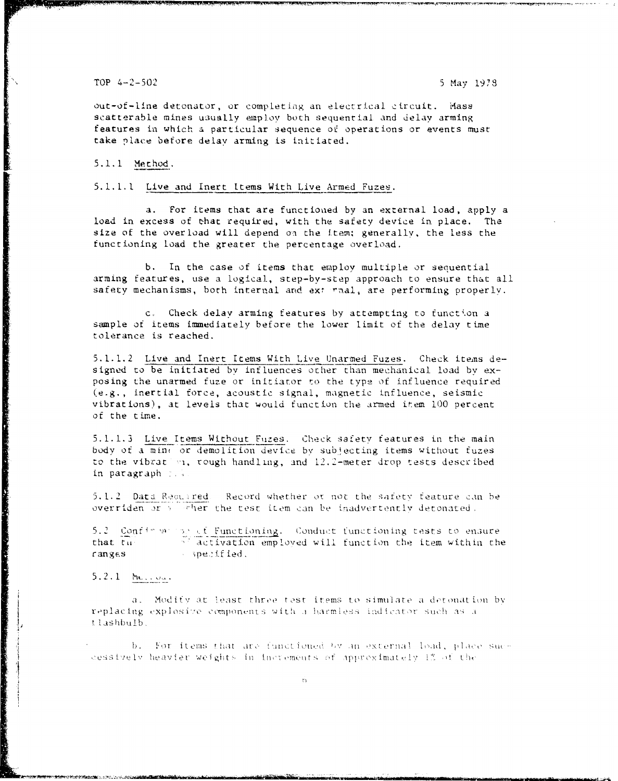TOP 4-2-502 5 May *1973*

out-of-line detonator, or completing an electrical circuit. Mass scatterable mines usually employ both sequential and delay arming features in which a particular sequence of operations or events must take place before delay arnming is initiated.

# **5.1.1** Method.

5.1.1.1 Live and Inert Items With Live Armed Fuzes.

a. For items that are functioned by an external load, apply a load in excess of that required, with the safety device in place. The size of the overload will depend on the item; generally, the less the functioning load the greater the percentage overload.

b. In the case of items that employ multiple or sequential arming features, use a logical, step-by-step approach to ensure that all safety mechanisms, both internal and ext rnal, are performing properly.

c. Check delay arming features by attempting to function a sample of items immediately before the lower limit of the delay time tolerance is reached.

5.1.1.2 Live and Inert Items With Live Unarmed Fuzes. Check itemns designed to be initiated by influences other than mechanical load by ex- posing the unarmed fuze or initiator to the type of influence required (e.g., inertial force, acoustic signal, magnetic influence, seismic vibrations), at levels that would function the armed item **100** percent of the time.

5.1.1.3 Live Items Without Futzes Check safety features in the main body of a mine or demolition device by subjecting items without fuzes to the vibrat on, rough handling, and 12.2-meter drop tests described in paragraph ...

5.1.2 Data Recorde Record whether of not the safety feature can be overriden or  $\gamma$  , wher the test item can be inadvertently detonated.

5.2 Conf<sup>f</sup> and only of Functioning. Conduct functioning tests to ensure that **tii** activation employed will function the item within the ranges specified.

 $5.2.1$  Me...

 $a.$  Modify at least three test items to simulate a detonation by  $x$  **fields**  $f(x)$  **finds**  $f(x)$  *i*  $f(x)$  **11**  $f(x)$  **11**  $f(x)$  **11**  $f(x)$  **11**  $f(x)$  **11**  $f(x)$  **11**  $f(x)$  **11**  $f(x)$  **11**  $f(x)$  **11**  $f(x)$  **11**  $f(x)$  **11**  $f(x)$  **11**  $f(x)$  **11**  $f(x)$  **11**  $f(x)$  **11**  $f(x)$  **11**  $f(x)$ 

**b.** For items that are functioned by an external load, place suc-<br>cessively heavier weights in increments of approximately 1% of the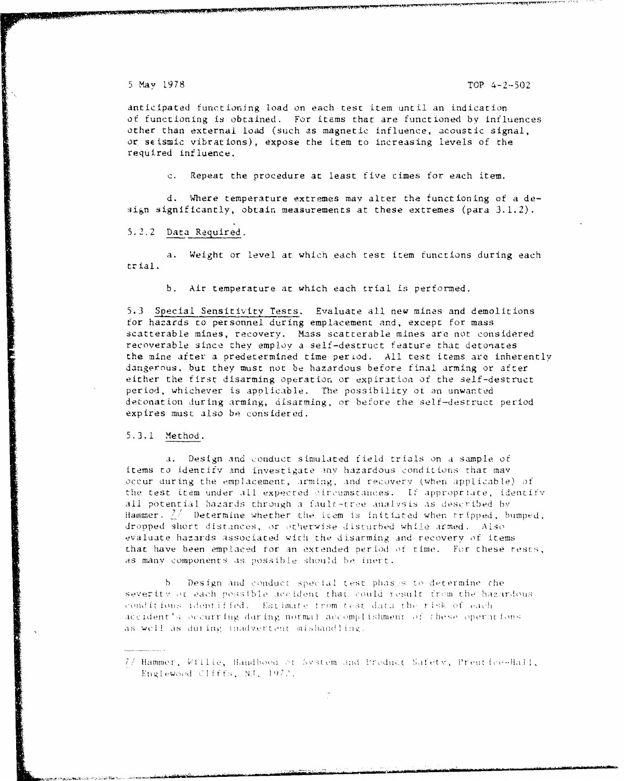anticipated functioning load on each test item until an indication of functioning is obtained. For items that are functioned by influences other than external load (such as magnetic influence, acoustic signal, or seismic vibrations), expose the item to increasing levels of the required influence.

c. Repeat the procedure at least five times for each item.

d. Where temperature extremes may alter the functioning of a design significantly, obtain measurements at these extremes (para 3.1.2).

5.2.2 Data Required.

a. Weight or level at. which each test item functions during each trial.

b. Air temperature at which each trial is performed.

5.3 Special Sensitivity Tests. Evaluate all new mines and demolitions for hazards to personnel during emplacement and, except for mass scatterable mines, recovery. Mass scatterable mines are not considered recoverable since they employ a self-destruct feature that detonates the mine after a predetermined time period. All test items are inherently dangerous, but they must not be hazardous before final arming or after either the first disarming operation or expiration of the self-destruct period, whichever is applicable. The possibility ot an unwanted detonation during arming, disarming, or before the self-destruct period expires must: also be considered.

5.3.1 Method.

a. Design and conduct simulated field trials on a sample of items to identify and investigate any hazardous conditions that may occur auring the emplacement:, arming, and recoverv (when applicable) **of** the test item under all expected circumstances. If appropriate, identify all potential hazards through a fault-tree analysis as described by Hammer.  $\frac{7}{7}$  Determine whether the item is initiated when tripped, bumped. dropped short distances, or otherwise disturbed while armed. Also evaluate hazards associated with the disarming and recovery of items that have been emplaced for an extended period of time. For these rests, as many components as possible should be inert.

**b**. Design and conduct special test phas is to determine the severity of each possible accident that could result from the hazardous conditions identified. Estimate from test data the risk of each **Accident's occurring during normal accomplishment of these operations** as well as during inadvertent mishandling.

W **g** t **I•'** -w ok JA i- **1** illl **f** l~•V.' T t ~ •I i-hill :!4

<sup>7/</sup> Hammer, Willie, Handbood et System and Preduct Safety, Prentice-Hall, Englewood Cliffs, NJ, 1972.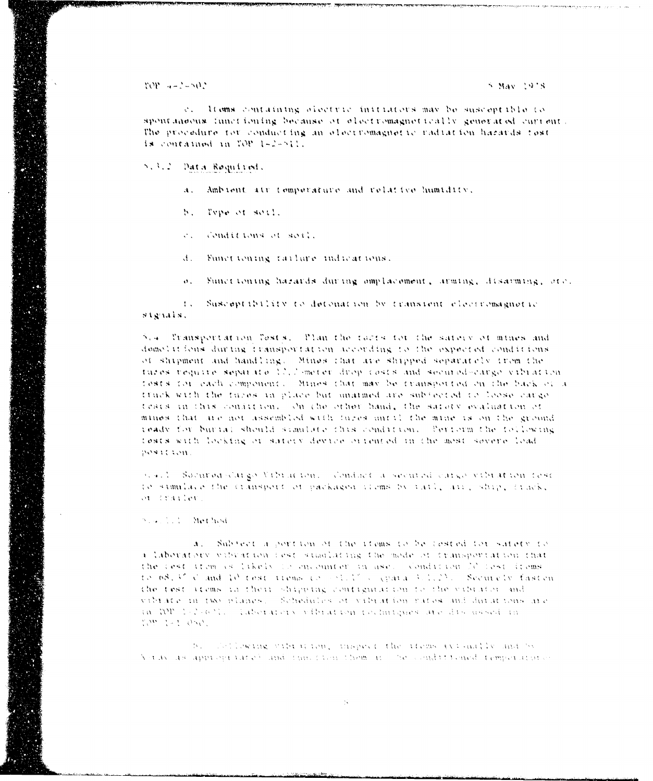# TOP 4-2-502

c. Items containing olectric initiators may be susceptible to spontaneous functioning because of electromagnetically generated current. The procedure for conducting an electromagnetic radiation hazards test is contained in TOP 1-2-511.

# 5.3.2 Data Required.

a. Ambient air temperature and relative humidity.

b. Type of soil.

c. Conditions of soil.

d. Functioning failure indications.

o. Functioning hazards during omplacement, arming, disarming, etc.

Suscept (b) lity to detenation by transient electromagnetic  $1.1$ stgals.

5.4 Transportation Tests. Than the tacts for the safety of mines and domelations during transportation according to the expected conditions. of shipment and handling. Mines that are shipped separately from the tures require separate 12.2 smeter drop costs and secured-cargo vibration tests for each component. Mines that may be transported on the back of a truck with the fuses in place but unatmed are subjected to loose cargo tests in this confition. On the other hand, the satuty evaluation of mines that are not assembled with tures until the mine is on the ground ready for burial should simulate this condition. Perform the following tests with locking or sately device oriented in the most severe load. position.

scall. Socurod-cargo Vibración. Condact a securod cargo vibratión cost to simulate the cransport of packaged trems by rail, air, ship, crack, or craiter.

# Search C. Method

a. Subject a portion of the items to be tested for satery for a laboratory vibration rest simulating the mode of transportation that the cest item is likely to encounter in ase. Condition DC fest items to 68, 67 C and 10 test atoms consisting operation of Securety fasten the test items in their shipping contiguintion to the vibrator and vibrate in two planes. Schedules of vibration rates and durations are in DP 1-2-631. (aboratory efficition to Autques are discussed in TOP 1-1-050.

b. Tellowing wibiactem, inspect the items (visually and by Notive as appropriated and function flow in the conditioned femperature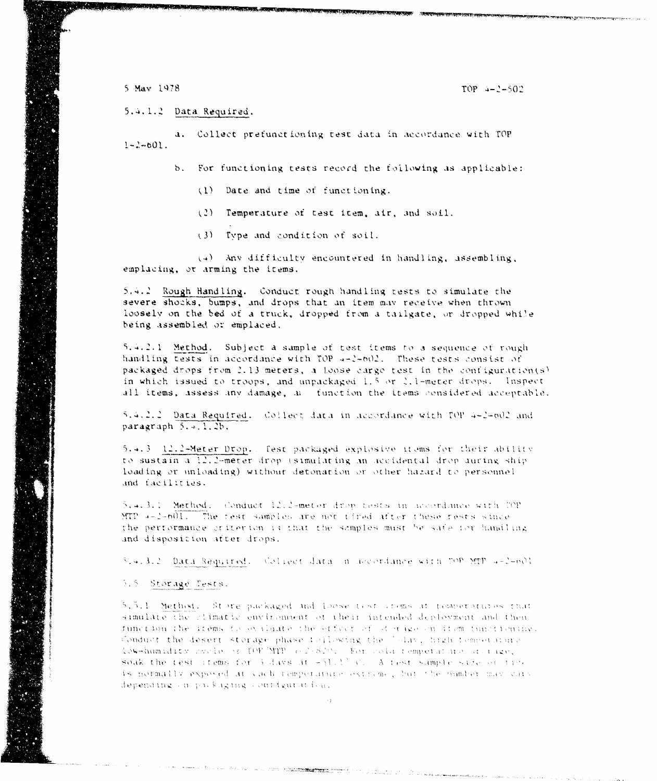5 May 1978

 $TOP 4-2-502$ 

5.4.1.2 Data Required.

a. Collect prefunctioning test data in accordance with TOP  $1 - 2 - 601$ .

b. For functioning tests record the following as applicable:

- $(1)$  Date and time of functioning.
- (2) Temperature of test item, air, and soil.
- (3) Type and condition of soil.

(4) Any difficulty encountered in handling, assembling, emplacing, or arming the items.

5.4.2 Rough Handling. Conduct rough handling tests to simulate the severe shocks, bumps, and drops that an item may receive when thrown loosely on the bed of a truck, dropped from a tailgate, or dropped while being assembled or emplaced.

5.4.2.1 Method. Subject a sample of test items to a sequence of rough handling tests in accordance with TOP 4-2-602. These tests consist of packaged drops from 2.13 meters, a loose cargo test in the configuration(s) in which issued to troops, and unpackaged 1.5 or 2.1-meter drops. Inspect all items, assess any damage, all function the items considered acceptable.

5.4.2.2 Data Required. Collect data in accordance with TOP 4-2-602 and paragraph  $5.4.1.2b.$ 

5.4.3 12.2-Meter Drop. fest packaged explosive items for their ability to sustain a 12.2-meter drop (simulating an accidental drop auring ship loading or unloading) withour detonation or other hazard to personnel and facilities.

5.4.3.1 Method, Conduct 12.2-meter drop tests in accordance with TOP MTP 4-2-601. The test samples are not fired after these tests since the performance criterion is that the samples must be safe for handling and disposition after drops.

5.4.3.2 Data Required. Collect data in accordance with TOP MTP 4-2-oul

# 5.5 Storage Tests.

5.5.1 Method. Store packaged and loose test croms at teameratures that simulate the climatic environment of their intended deployment and then function the items to oviluate the effect of stories on item functioning. Conduct the desert storage phase fullowing the lalay, high temperature low-humidity systems: 10P MTP 6-2-820. For sold temperature starage, soak the test items for 3 days at -51.1° C. A test sample size of tive is normally exposed at each temperature extreme, but the number may vary depending on packaging configuration.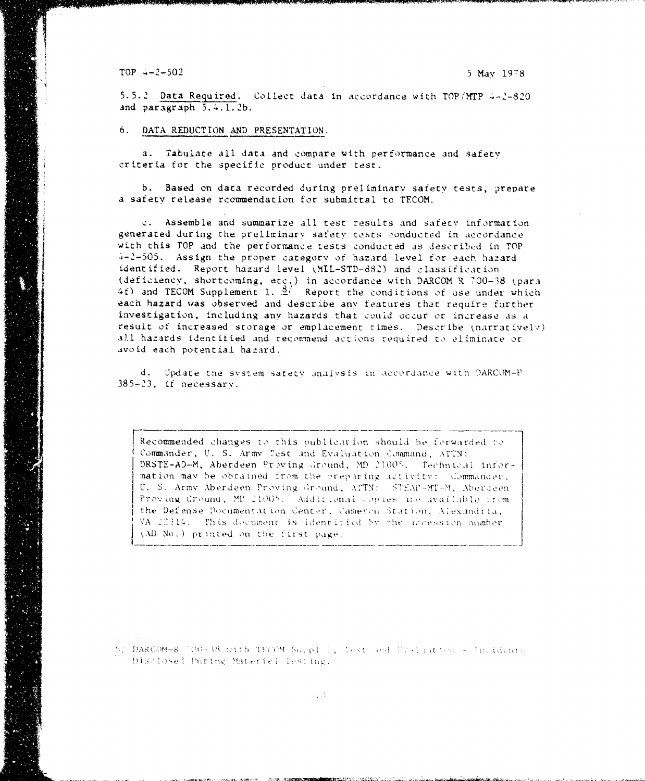TOP  $4-2-502$ 

5 May 1978

5.5.2 Data Required. Collect data in accordance with TOP/MTP 4-2-820 and paragraph  $5.4.1.2b$ .

## 6. DATA REDUCTION AND PRESENTATION.

a. Tabulate all data and compare with performance and safety criteria for the specific product under test.

b. Based on data recorded during preliminary safety tests, prepare a safety release recummendation for submittal to TECOM.

c. Assemble and summarize all test results and safety information generated during the preliminary safety tests conducted in accordance with this TOP and the performance tests conducted as described in TOP  $4-2-505$ . Assign the proper category of hazard level for each hazard identified. Report hazard level (MIL-STD-882) and classification (deficiency, shortcoming, etc.) in accordance with DARCOM R 700-38 (para 4f) and TECOM Supplement 1.  $\frac{3}{2}$ . Report the conditions of use under which each hazard was observed and describe any features that require further investigation, including any hazards that could occur or increase as a result of increased storage or emplacement times. Describe (narratively) all hazards identified and recommend actions required to eliminate or avoid each potential hazard.

d. Update the system safety unalysis in accordance with DARCOM-P 385-23, if necessarv.

Recommended changes to this publication should be forwarded to Commander, U. S. Army Test and Evaluation Command, ATTN: DRSTE-AD-M, Aberdeen Proving Ground, MD 21005. Technical information may be obtained from the preparing activity: Commander, U. S. Army Aberdeen Proving Ground, ATTN: STEAP-MT-M, Aberdeen Proving Ground, MD 21005. Additional contes are available from the Defense Documentation Center, Cameron Station, Alexandria, VA 22314. This document is identified by the accession number (AD No.) printed on the first page.

8/ DARCOM-R 700-38 with TECOM Suppl 1, Test and Evaliation - Incidents Disclosed During Materiel Testing.